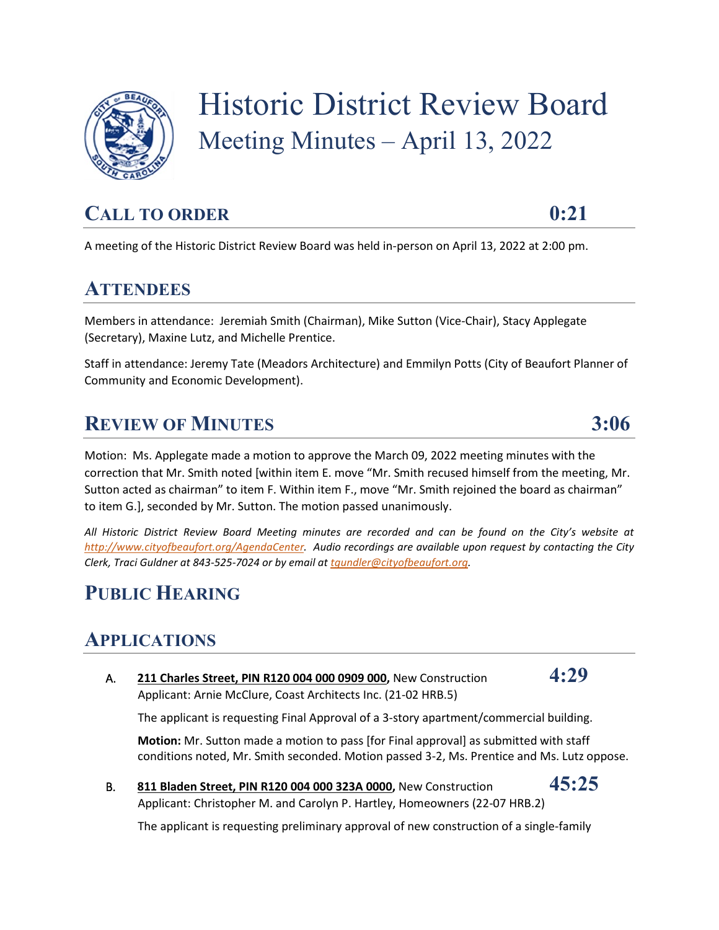

# Historic District Review Board Meeting Minutes – April 13, 2022

# CALL TO ORDER 0:21

A meeting of the Historic District Review Board was held in-person on April 13, 2022 at 2:00 pm.

### **ATTENDEES**

Members in attendance: Jeremiah Smith (Chairman), Mike Sutton (Vice-Chair), Stacy Applegate (Secretary), Maxine Lutz, and Michelle Prentice.

Staff in attendance: Jeremy Tate (Meadors Architecture) and Emmilyn Potts (City of Beaufort Planner of Community and Economic Development).

# **REVIEW OF MINUTES 3:06**

Motion: Ms. Applegate made a motion to approve the March 09, 2022 meeting minutes with the correction that Mr. Smith noted [within item E. move "Mr. Smith recused himself from the meeting, Mr. Sutton acted as chairman" to item F. Within item F., move "Mr. Smith rejoined the board as chairman" to item G.], seconded by Mr. Sutton. The motion passed unanimously.

*All Historic District Review Board Meeting minutes are recorded and can be found on the City's website at [http://www.cityofbeaufort.org/AgendaCenter.](http://www.cityofbeaufort.org/AgendaCenter) Audio recordings are available upon request by contacting the City Clerk, Traci Guldner at 843-525-7024 or by email a[t tgundler@cityofbeaufort.org.](mailto:tgundler@cityofbeaufort.org)* 

### **PUBLIC HEARING**

### **APPLICATIONS**

A. **211 Charles Street, PIN R120 004 000 0909 000,** New Construction **4:29** Applicant: Arnie McClure, Coast Architects Inc. (21-02 HRB.5)

The applicant is requesting Final Approval of a 3-story apartment/commercial building.

**Motion:** Mr. Sutton made a motion to pass [for Final approval] as submitted with staff conditions noted, Mr. Smith seconded. Motion passed 3-2, Ms. Prentice and Ms. Lutz oppose.

B. **811 Bladen Street, PIN R120 004 000 323A 0000,** New Construction **45:25** Applicant: Christopher M. and Carolyn P. Hartley, Homeowners (22-07 HRB.2)

The applicant is requesting preliminary approval of new construction of a single-family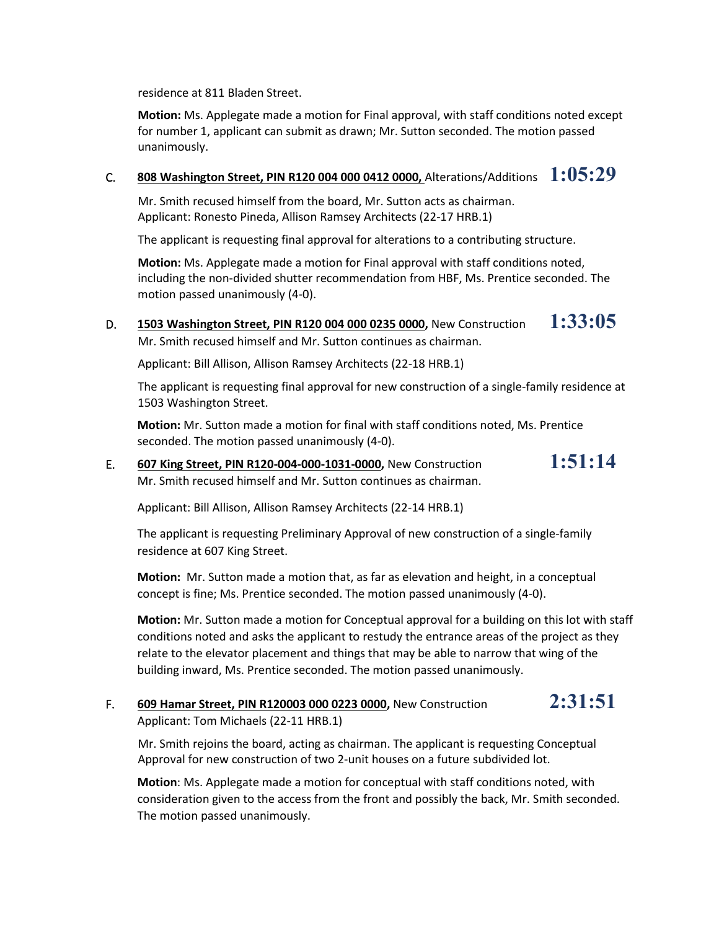residence at 811 Bladen Street.

**Motion:** Ms. Applegate made a motion for Final approval, with staff conditions noted except for number 1, applicant can submit as drawn; Mr. Sutton seconded. The motion passed unanimously.

### C. **808 Washington Street, PIN R120 004 000 0412 0000,** Alterations/Additions **1:05:29**

Mr. Smith recused himself from the board, Mr. Sutton acts as chairman. Applicant: Ronesto Pineda, Allison Ramsey Architects (22-17 HRB.1)

The applicant is requesting final approval for alterations to a contributing structure.

**Motion:** Ms. Applegate made a motion for Final approval with staff conditions noted, including the non-divided shutter recommendation from HBF, Ms. Prentice seconded. The motion passed unanimously (4-0).

D. **1503 Washington Street, PIN R120 004 000 0235 0000,** New Construction **1:33:05** Mr. Smith recused himself and Mr. Sutton continues as chairman.

Applicant: Bill Allison, Allison Ramsey Architects (22-18 HRB.1)

The applicant is requesting final approval for new construction of a single-family residence at 1503 Washington Street.

**Motion:** Mr. Sutton made a motion for final with staff conditions noted, Ms. Prentice seconded. The motion passed unanimously (4-0).

### E. **607 King Street, PIN R120-004-000-1031-0000,** New Construction **1:51:14** Mr. Smith recused himself and Mr. Sutton continues as chairman.

Applicant: Bill Allison, Allison Ramsey Architects (22-14 HRB.1)

The applicant is requesting Preliminary Approval of new construction of a single-family residence at 607 King Street.

**Motion:** Mr. Sutton made a motion that, as far as elevation and height, in a conceptual concept is fine; Ms. Prentice seconded. The motion passed unanimously (4-0).

**Motion:** Mr. Sutton made a motion for Conceptual approval for a building on this lot with staff conditions noted and asks the applicant to restudy the entrance areas of the project as they relate to the elevator placement and things that may be able to narrow that wing of the building inward, Ms. Prentice seconded. The motion passed unanimously.

### F. **609 Hamar Street, PIN R120003 000 0223 0000,** New Construction **2:31:51** Applicant: Tom Michaels (22-11 HRB.1)

Mr. Smith rejoins the board, acting as chairman. The applicant is requesting Conceptual Approval for new construction of two 2-unit houses on a future subdivided lot.

**Motion**: Ms. Applegate made a motion for conceptual with staff conditions noted, with consideration given to the access from the front and possibly the back, Mr. Smith seconded. The motion passed unanimously.